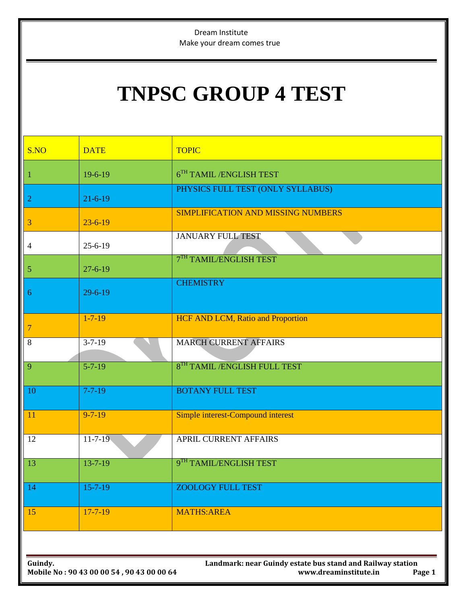Dream Institute Make your dream comes true

## **TNPSC GROUP 4 TEST**

| S.NO           | <b>DATE</b>   | <b>TOPIC</b>                              |
|----------------|---------------|-------------------------------------------|
| $\mathbf{1}$   | $19-6-19$     | $6TH$ TAMIL/ENGLISH TEST                  |
| $\overline{2}$ | $21 - 6 - 19$ | PHYSICS FULL TEST (ONLY SYLLABUS)         |
| 3              | $23 - 6 - 19$ | <b>SIMPLIFICATION AND MISSING NUMBERS</b> |
| $\overline{4}$ | $25 - 6 - 19$ | <b>JANUARY FULL TEST</b>                  |
| $\mathfrak{S}$ | $27 - 6 - 19$ | 7TH TAMIL/ENGLISH TEST                    |
| 6              | $29 - 6 - 19$ | <b>CHEMISTRY</b>                          |
| $\overline{7}$ | $1 - 7 - 19$  | <b>HCF AND LCM, Ratio and Proportion</b>  |
| 8              | $3 - 7 - 19$  | <b>MARCH CURRENT AFFAIRS</b>              |
| 9              | $5 - 7 - 19$  | 8TH TAMIL / ENGLISH FULL TEST             |
| 10             | $7 - 7 - 19$  | <b>BOTANY FULL TEST</b>                   |
| 11             | $9 - 7 - 19$  | Simple interest-Compound interest         |
| 12             | $11 - 7 - 19$ | APRIL CURRENT AFFAIRS                     |
| 13             | $13 - 7 - 19$ | 9TH TAMIL/ENGLISH TEST                    |
| 14             | $15 - 7 - 19$ | <b>ZOOLOGY FULL TEST</b>                  |
| 15             | $17 - 7 - 19$ | <b>MATHS:AREA</b>                         |
|                |               |                                           |

**Guindy. Landmark: near Guindy estate bus stand and Railway station Mobile No : 90 43 00 00 54 , 90 43 00 00 64 www.dreaminstitute.in Page 1**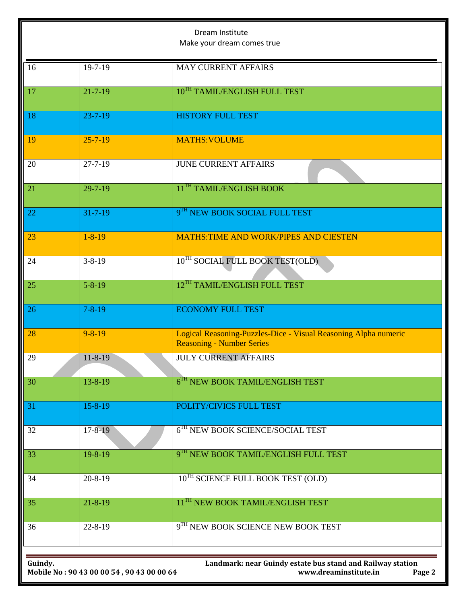| Dream Institute<br>Make your dream comes true                                                                                                         |               |                                                                                                     |  |  |
|-------------------------------------------------------------------------------------------------------------------------------------------------------|---------------|-----------------------------------------------------------------------------------------------------|--|--|
| 16                                                                                                                                                    | 19-7-19       | <b>MAY CURRENT AFFAIRS</b>                                                                          |  |  |
| 17                                                                                                                                                    | $21 - 7 - 19$ | 10TH TAMIL/ENGLISH FULL TEST                                                                        |  |  |
| 18                                                                                                                                                    | $23 - 7 - 19$ | <b>HISTORY FULL TEST</b>                                                                            |  |  |
| 19                                                                                                                                                    | $25 - 7 - 19$ | <b>MATHS: VOLUME</b>                                                                                |  |  |
| 20                                                                                                                                                    | $27 - 7 - 19$ | <b>JUNE CURRENT AFFAIRS</b>                                                                         |  |  |
| 21                                                                                                                                                    | $29 - 7 - 19$ | 11 <sup>TH</sup> TAMIL/ENGLISH BOOK                                                                 |  |  |
| 22                                                                                                                                                    | $31 - 7 - 19$ | 9TH NEW BOOK SOCIAL FULL TEST                                                                       |  |  |
| 23                                                                                                                                                    | $1 - 8 - 19$  | <b>MATHS:TIME AND WORK/PIPES AND CIESTEN</b>                                                        |  |  |
| 24                                                                                                                                                    | $3 - 8 - 19$  | 10 <sup>TH</sup> SOCIAL FULL BOOK TEST(OLD)                                                         |  |  |
| 25                                                                                                                                                    | $5 - 8 - 19$  | 12 <sup>TH</sup> TAMIL/ENGLISH FULL TEST                                                            |  |  |
| 26                                                                                                                                                    | $7 - 8 - 19$  | <b>ECONOMY FULL TEST</b>                                                                            |  |  |
| 28                                                                                                                                                    | $9 - 8 - 19$  | Logical Reasoning-Puzzles-Dice - Visual Reasoning Alpha numeric<br><b>Reasoning - Number Series</b> |  |  |
| 29                                                                                                                                                    | $11 - 8 - 19$ | <b>JULY CURRENT AFFAIRS</b>                                                                         |  |  |
| 30                                                                                                                                                    | $13 - 8 - 19$ | 6 <sup>TH</sup> NEW BOOK TAMIL/ENGLISH TEST                                                         |  |  |
| 31                                                                                                                                                    | $15 - 8 - 19$ | POLITY/CIVICS FULL TEST                                                                             |  |  |
| 32                                                                                                                                                    | $17 - 8 - 19$ | 6 <sup>TH</sup> NEW BOOK SCIENCE/SOCIAL TEST                                                        |  |  |
| 33                                                                                                                                                    | $19 - 8 - 19$ | 9TH NEW BOOK TAMIL/ENGLISH FULL TEST                                                                |  |  |
| 34                                                                                                                                                    | $20 - 8 - 19$ | 10 <sup>TH</sup> SCIENCE FULL BOOK TEST (OLD)                                                       |  |  |
| 35                                                                                                                                                    | $21 - 8 - 19$ | 11 <sup>TH</sup> NEW BOOK TAMIL/ENGLISH TEST                                                        |  |  |
| 36                                                                                                                                                    | $22 - 8 - 19$ | 9 <sup>TH</sup> NEW BOOK SCIENCE NEW BOOK TEST                                                      |  |  |
|                                                                                                                                                       |               |                                                                                                     |  |  |
| Landmark: near Guindy estate bus stand and Railway station<br>Guindy.<br>www.dreaminstitute.in<br>Page 2<br>Mobile No: 90 43 00 00 54, 90 43 00 00 64 |               |                                                                                                     |  |  |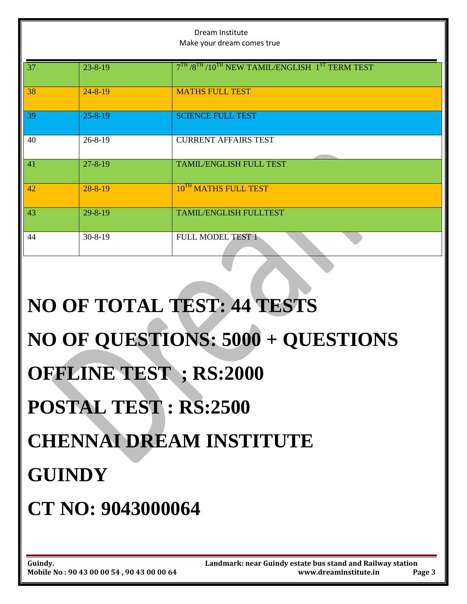|                               |               | Dream Institute<br>Make your dream comes true                                                   |  |  |  |
|-------------------------------|---------------|-------------------------------------------------------------------------------------------------|--|--|--|
| 37                            | $23 - 8 - 19$ | $7^{\text{TH}}$ / $8^{\text{TH}}$ /10 <sup>TH</sup> NEW TAMIL/ENGLISH $1^{\text{ST}}$ TERM TEST |  |  |  |
| 38                            | $24 - 8 - 19$ | <b>MATHS FULL TEST</b>                                                                          |  |  |  |
| 39                            | $25 - 8 - 19$ | <b>SCIENCE FULL TEST</b>                                                                        |  |  |  |
| 40                            | $26 - 8 - 19$ | <b>CURRENT AFFAIRS TEST</b>                                                                     |  |  |  |
| 41                            | $27 - 8 - 19$ | <b>TAMIL/ENGLISH FULL TEST</b>                                                                  |  |  |  |
| 42                            | $28 - 8 - 19$ | 10 <sup>TH</sup> MATHS FULL TEST                                                                |  |  |  |
| 43                            | $29 - 8 - 19$ | <b>TAMIL/ENGLISH FULLTEST</b>                                                                   |  |  |  |
| 44                            | $30 - 8 - 19$ | <b>FULL MODEL TEST 1</b>                                                                        |  |  |  |
|                               |               | <b>NO OF TOTAL TEST: 44 TESTS</b>                                                               |  |  |  |
|                               |               | NO OF QUESTIONS: 5000 + QUESTIONS                                                               |  |  |  |
| <b>OFFLINE TEST ; RS:2000</b> |               |                                                                                                 |  |  |  |
|                               |               | <b>POSTAL TEST: RS:2500</b>                                                                     |  |  |  |
|                               |               | <b>CHENNAI DREAM INSTITUTE</b>                                                                  |  |  |  |
|                               | <b>GUINDY</b> |                                                                                                 |  |  |  |

**CT NO: 9043000064**